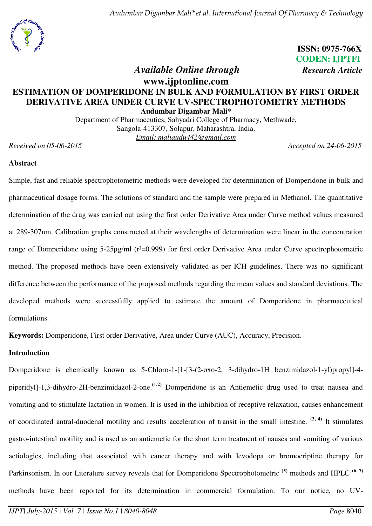*Audumbar Digambar Mali\*et al. International Journal Of Pharmacy & Technology* 



**ISSN: 0975-766X CODEN: IJPTFI**  *Available Online through Research Article* 

# **www.ijptonline.com ESTIMATION OF DOMPERIDONE IN BULK AND FORMULATION BY FIRST ORDER DERIVATIVE AREA UNDER CURVE UV-SPECTROPHOTOMETRY METHODS Audumbar Digambar Mali\***

Department of Pharmaceutics, Sahyadri College of Pharmacy, Methwade, Sangola-413307, Solapur, Maharashtra, India. *Email: [maliaudu442@gmail.com](mailto:maliaudu442@gmail.com)* 

*Received on 05-06-2015 Accepted on 24-06-2015*

#### **Abstract**

Simple, fast and reliable spectrophotometric methods were developed for determination of Domperidone in bulk and pharmaceutical dosage forms. The solutions of standard and the sample were prepared in Methanol. The quantitative determination of the drug was carried out using the first order Derivative Area under Curve method values measured at 289-307nm. Calibration graphs constructed at their wavelengths of determination were linear in the concentration range of Domperidone using 5-25µg/ml (r<sup>2</sup>=0.999) for first order Derivative Area under Curve spectrophotometric method. The proposed methods have been extensively validated as per ICH guidelines. There was no significant difference between the performance of the proposed methods regarding the mean values and standard deviations. The developed methods were successfully applied to estimate the amount of Domperidone in pharmaceutical formulations.

**Keywords:** Domperidone, First order Derivative, Area under Curve (AUC), Accuracy, Precision.

### **Introduction**

Domperidone is chemically known as 5-Chloro-1-[1-[3-(2-oxo-2, 3-dihydro-1H benzimidazol-1-yl)propyl]-4 piperidyl]-1,3-dihydro-2H-benzimidazol-2-one.**(1,2)** Domperidone is an Antiemetic drug used to treat nausea and vomiting and to stimulate lactation in women. It is used in the inhibition of receptive relaxation, causes enhancement of coordinated antral-duodenal motility and results acceleration of transit in the small intestine. **(3, 4)** It stimulates gastro-intestinal motility and is used as an antiemetic for the short term treatment of nausea and vomiting of various aetiologies, including that associated with cancer therapy and with levodopa or bromocriptine therapy for Parkinsonism. In our Literature survey reveals that for Domperidone Spectrophotometric **(5)** methods and HPLC **(6, 7)** methods have been reported for its determination in commercial formulation. To our notice, no UV-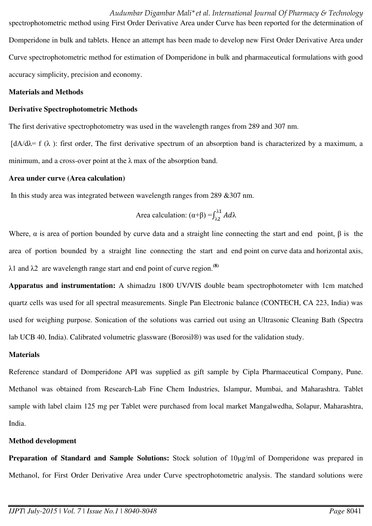*Audumbar Digambar Mali\*et al. International Journal Of Pharmacy & Technology* 

spectrophotometric method using First Order Derivative Area under Curve has been reported for the determination of Domperidone in bulk and tablets. Hence an attempt has been made to develop new First Order Derivative Area under Curve spectrophotometric method for estimation of Domperidone in bulk and pharmaceutical formulations with good accuracy simplicity, precision and economy.

#### **Materials and Methods**

#### **Derivative Spectrophotometric Methods**

The first derivative spectrophotometry was used in the wavelength ranges from 289 and 307 nm.

 $\left[\frac{dA}{d\lambda}\right]$  f ( $\lambda$ ): first order, The first derivative spectrum of an absorption band is characterized by a maximum, a minimum, and a cross-over point at the  $\lambda$  max of the absorption band.

#### **Area under curve (Area calculation)**

In this study area was integrated between wavelength ranges from 289 &307 nm.

Area calculation: 
$$
(\alpha + \beta) = \int_{\lambda_2}^{\lambda_1} Ad\lambda
$$

Where,  $\alpha$  is area of portion bounded by curve data and a straight line connecting the start and end point,  $\beta$  is the area of portion bounded by a straight line connecting the start and end point on curve data and horizontal axis,  $\lambda$ 1 and  $\lambda$ 2 are wavelength range start and end point of curve region.<sup>(8)</sup>

**Apparatus and instrumentation:** A shimadzu 1800 UV/VIS double beam spectrophotometer with 1cm matched quartz cells was used for all spectral measurements. Single Pan Electronic balance (CONTECH, CA 223, India) was used for weighing purpose. Sonication of the solutions was carried out using an Ultrasonic Cleaning Bath (Spectra lab UCB 40, India). Calibrated volumetric glassware (Borosil®) was used for the validation study.

#### **Materials**

Reference standard of Domperidone API was supplied as gift sample by Cipla Pharmaceutical Company, Pune. Methanol was obtained from [Research-Lab Fine Chem Industries, Islampur,](http://www.indiamart.com/company/3928956/) Mumbai, and Maharashtra. Tablet sample with label claim 125 mg per Tablet were purchased from local market Mangalwedha, Solapur, Maharashtra, India.

### **Method development**

**Preparation of Standard and Sample Solutions:** Stock solution of 10µg/ml of Domperidone was prepared in Methanol, for First Order Derivative Area under Curve spectrophotometric analysis. The standard solutions were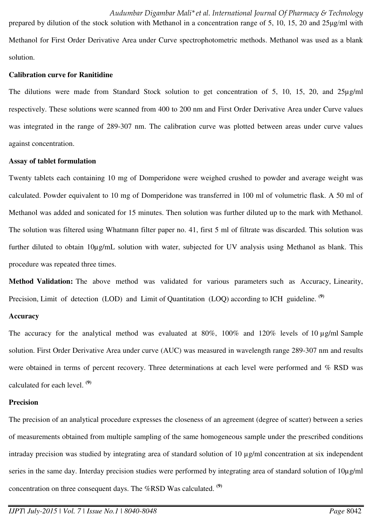prepared by dilution of the stock solution with Methanol in a concentration range of 5, 10, 15, 20 and  $25\mu g/ml$  with Methanol for First Order Derivative Area under Curve spectrophotometric methods. Methanol was used as a blank solution.

### **Calibration curve for Ranitidine**

The dilutions were made from Standard Stock solution to get concentration of 5, 10, 15, 20, and 25µg/ml respectively. These solutions were scanned from 400 to 200 nm and First Order Derivative Area under Curve values was integrated in the range of 289-307 nm. The calibration curve was plotted between areas under curve values against concentration.

#### **Assay of tablet formulation**

Twenty tablets each containing 10 mg of Domperidone were weighed crushed to powder and average weight was calculated. Powder equivalent to 10 mg of Domperidone was transferred in 100 ml of volumetric flask. A 50 ml of Methanol was added and sonicated for 15 minutes. Then solution was further diluted up to the mark with Methanol. The solution was filtered using Whatmann filter paper no. 41, first 5 ml of filtrate was discarded. This solution was further diluted to obtain 10µg/mL solution with water, subjected for UV analysis using Methanol as blank. This procedure was repeated three times.

**Method Validation:** The above method was validated for various parameters such as Accuracy, Linearity, Precision, Limit of detection (LOD) and Limit of Quantitation (LOQ) according to ICH guideline. <sup>(9)</sup>

### **Accuracy**

The accuracy for the analytical method was evaluated at 80%, 100% and 120% levels of 10  $\mu$ g/ml Sample solution. First Order Derivative Area under curve (AUC) was measured in wavelength range 289-307 nm and results were obtained in terms of percent recovery. Three determinations at each level were performed and % RSD was calculated for each level. **(9)**

#### **Precision**

The precision of an analytical procedure expresses the closeness of an agreement (degree of scatter) between a series of measurements obtained from multiple sampling of the same homogeneous sample under the prescribed conditions intraday precision was studied by integrating area of standard solution of 10 µg/ml concentration at six independent series in the same day. Interday precision studies were performed by integrating area of standard solution of  $10\mu$ g/ml concentration on three consequent days. The %RSD Was calculated. **(9)**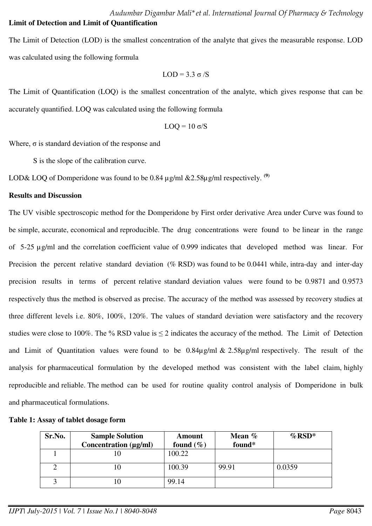The Limit of Detection (LOD) is the smallest concentration of the analyte that gives the measurable response. LOD was calculated using the following formula

$$
LOD \equiv 3.3 \; \sigma/S
$$

The Limit of Quantification (LOQ) is the smallest concentration of the analyte, which gives response that can be accurately quantified. LOQ was calculated using the following formula

$$
LOQ \equiv 10 \; \sigma/S
$$

Where,  $\sigma$  is standard deviation of the response and

S is the slope of the calibration curve.

LOD& LOQ of Domperidone was found to be 0.84  $\mu$ g/ml &2.58 $\mu$ g/ml respectively. <sup>(9)</sup>

#### **Results and Discussion**

The UV visible spectroscopic method for the Domperidone by First order derivative Area under Curve was found to be simple, accurate, economical and reproducible. The drug concentrations were found to be linear in the range of 5-25 µg/ml and the correlation coefficient value of 0.999 indicates that developed method was linear. For Precision the percent relative standard deviation (% RSD) was found to be 0.0441 while, intra-day and inter-day precision results in terms of percent relative standard deviation values were found to be 0.9871 and 0.9573 respectively thus the method is observed as precise. The accuracy of the method was assessed by recovery studies at three different levels i.e. 80%, 100%, 120%. The values of standard deviation were satisfactory and the recovery studies were close to 100%. The % RSD value is  $\leq$  2 indicates the accuracy of the method. The Limit of Detection and Limit of Quantitation values were found to be 0.84µg/ml & 2.58µg/ml respectively. The result of the analysis for pharmaceutical formulation by the developed method was consistent with the label claim, highly reproducible and reliable. The method can be used for routine quality control analysis of Domperidone in bulk and pharmaceutical formulations.

| Sr.No. | <b>Sample Solution</b> | Amount        | Mean % | $\%$ RSD* |
|--------|------------------------|---------------|--------|-----------|
|        | Concentration (µg/ml)  | found $(\% )$ | found* |           |
|        |                        | 100.22        |        |           |
|        | 10                     | 100.39        | 99.91  | 0.0359    |
|        |                        | 99.14         |        |           |

#### **Table 1: Assay of tablet dosage form**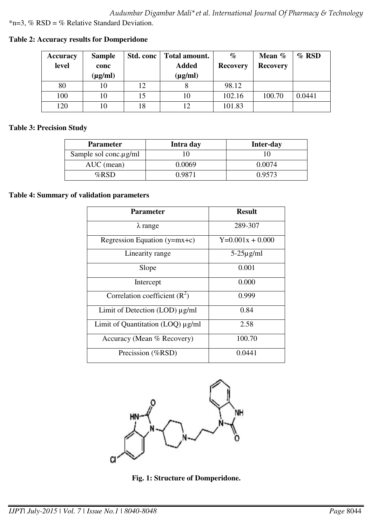*Audumbar Digambar Mali\*et al. International Journal Of Pharmacy & Technology* 

 $*n=3$ , % RSD = % Relative Standard Deviation.

| <b>Accuracy</b> | <b>Sample</b> | Std. conc | Total amount. | $\%$            | Mean %          | $\%$ RSD |
|-----------------|---------------|-----------|---------------|-----------------|-----------------|----------|
| level           | conc          |           | <b>Added</b>  | <b>Recovery</b> | <b>Recovery</b> |          |
|                 | $(\mu g/ml)$  |           | $(\mu g/ml)$  |                 |                 |          |
| 80              | 10            | 12        |               | 98.12           |                 |          |
| 100             | 10            | 15        | 10            | 102.16          | 100.70          | 0.0441   |
| 120             | 10            | 18        |               | 101.83          |                 |          |

**Table 2: Accuracy results for Domperidone** 

## **Table 3: Precision Study**

| <b>Parameter</b>            | Intra day | <b>Inter-day</b> |
|-----------------------------|-----------|------------------|
| Sample sol conc. $\mu$ g/ml |           |                  |
| AUC (mean)                  | 0.0069    | 0.0074           |
| %RSD                        | ገ ዓጸ71    | 0.9573           |

### **Table 4: Summary of validation parameters**

| <b>Parameter</b>                    | <b>Result</b>      |  |
|-------------------------------------|--------------------|--|
| $\lambda$ range                     | 289-307            |  |
| Regression Equation $(y=mx+c)$      | $Y=0.001x + 0.000$ |  |
| Linearity range                     | $5-25\mu$ g/ml     |  |
| Slope                               | 0.001              |  |
| Intercept                           | 0.000              |  |
| Correlation coefficient $(R^2)$     | 0.999              |  |
| Limit of Detection $(LOD) \mu g/ml$ | 0.84               |  |
| Limit of Quantitation (LOQ) µg/ml   | 2.58               |  |
| Accuracy (Mean % Recovery)          | 100.70             |  |
| Precission (%RSD)                   | 0.0441             |  |



**Fig. 1: Structure of Domperidone.**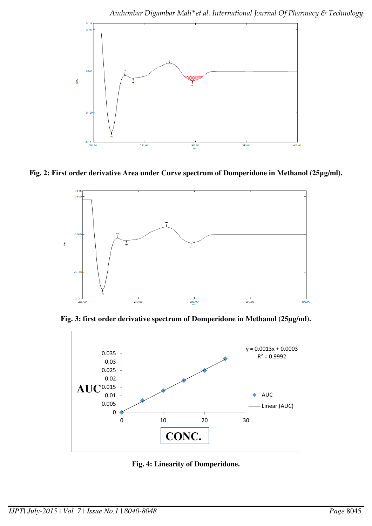

**Fig. 2: First order derivative Area under Curve spectrum of Domperidone in Methanol (25µg/ml).**



**Fig. 3: first order derivative spectrum of Domperidone in Methanol (25µg/ml).** 



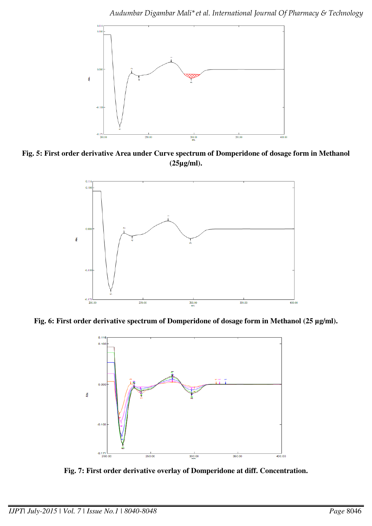

**Fig. 5: First order derivative Area under Curve spectrum of Domperidone of dosage form in Methanol (25µg/ml).** 



**Fig. 6: First order derivative spectrum of Domperidone of dosage form in Methanol (25 µg/ml).** 



**Fig. 7: First order derivative overlay of Domperidone at diff. Concentration.**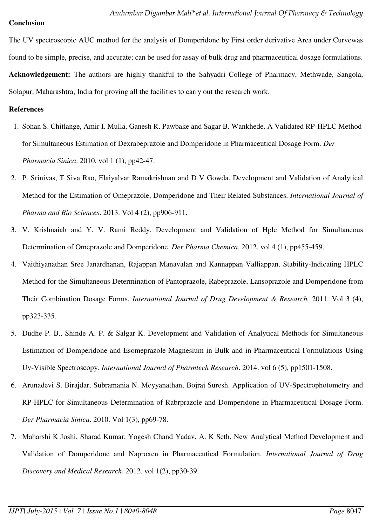### **Conclusion**

The UV spectroscopic AUC method for the analysis of Domperidone by First order derivative Area under Curvewas found to be simple, precise, and accurate; can be used for assay of bulk drug and pharmaceutical dosage formulations. **Acknowledgement:** The authors are highly thankful to the Sahyadri College of Pharmacy, Methwade, Sangola, Solapur, Maharashtra, India for proving all the facilities to carry out the research work.

#### **References**

- 1. Sohan S. Chitlange, Amir I. Mulla, Ganesh R. Pawbake and Sagar B. Wankhede. A Validated RP-HPLC Method for Simultaneous Estimation of Dexrabeprazole and Domperidone in Pharmaceutical Dosage Form. *Der Pharmacia Sinica*. 2010. vol 1 (1), pp42-47.
- 2. P. Srinivas, T Siva Rao, Elaiyalvar Ramakrishnan and D V Gowda. Development and Validation of Analytical Method for the Estimation of Omeprazole, Domperidone and Their Related Substances. *International Journal of Pharma and Bio Sciences*. 2013. Vol 4 (2), pp906-911.
- 3. V. Krishnaiah and Y. V. Rami Reddy. Development and Validation of Hplc Method for Simultaneous Determination of Omeprazole and Domperidone. *Der Pharma Chemica.* 2012. vol 4 (1), pp455-459.
- 4. Vaithiyanathan Sree Janardhanan, Rajappan Manavalan and Kannappan Valliappan. Stability-Indicating HPLC Method for the Simultaneous Determination of Pantoprazole, Rabeprazole, Lansoprazole and Domperidone from Their Combination Dosage Forms. *International Journal of Drug Development & Research.* 2011. Vol 3 (4), pp323-335.
- 5. Dudhe P. B., Shinde A. P. & Salgar K. Development and Validation of Analytical Methods for Simultaneous Estimation of Domperidone and Esomeprazole Magnesium in Bulk and in Pharmaceutical Formulations Using Uv-Visible Spectroscopy. *International Journal of Pharmtech Research*. 2014. vol 6 (5), pp1501-1508.
- 6. Arunadevi S. Birajdar, Subramania N. Meyyanathan, Bojraj Suresh. Application of UV-Spectrophotometry and RP-HPLC for Simultaneous Determination of Rabrprazole and Domperidone in Pharmaceutical Dosage Form. *Der Pharmacia Sinica*. 2010. Vol 1(3), pp69-78.
- 7. Maharshi K Joshi, Sharad Kumar, Yogesh Chand Yadav, A. K Seth. New Analytical Method Development and Validation of Domperidone and Naproxen in Pharmaceutical Formulation. *International Journal of Drug Discovery and Medical Research*. 2012. vol 1(2), pp30-39.